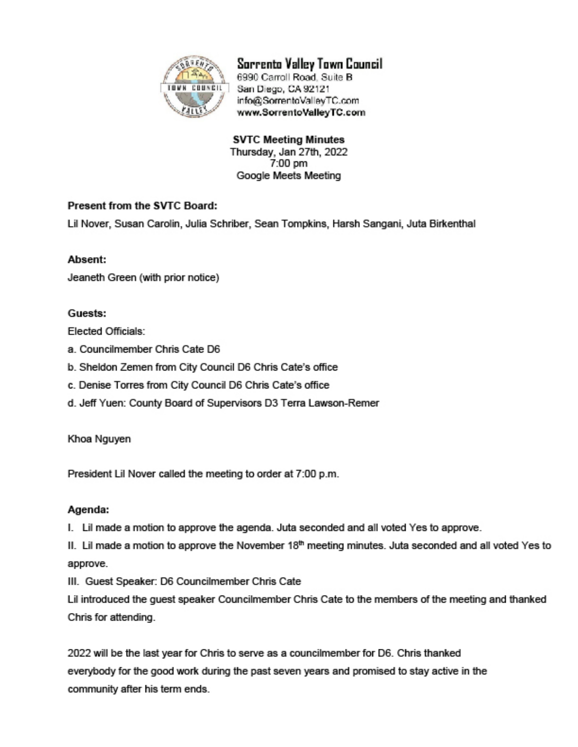

Sorrento Valley Town Council 6990 Carroll Road, Suite B San Diego, CA 92121

info@SorrentoValleyTC.com www.SorrentoValleyTC.com

**SVTC Meeting Minutes** Thursday, Jan 27th, 2022 7:00 pm Google Meets Meeting

# Present from the SVTC Board:

Lil Nover, Susan Carolin, Julia Schriber, Sean Tompkins, Harsh Sangani, Juta Birkenthal

## Absent:

Jeaneth Green (with prior notice)

## Guests:

Elected Officials:

- a. Councilmember Chris Cate D6
- b. Sheldon Zemen from City Council D6 Chris Cate's office
- c. Denise Torres from City Council D6 Chris Cate's office
- d. Jeff Yuen: County Board of Supervisors D3 Terra Lawson-Remer

## Khoa Nguyen

President Lil Nover called the meeting to order at 7:00 p.m.

## Agenda:

I. Lil made a motion to approve the agenda. Juta seconded and all voted Yes to approve.

II. Lil made a motion to approve the November 18<sup>th</sup> meeting minutes. Juta seconded and all voted Yes to approve.

III. Guest Speaker: D6 Councilmember Chris Cate

Lil introduced the quest speaker Councilmember Chris Cate to the members of the meeting and thanked Chris for attending.

2022 will be the last year for Chris to serve as a councilmember for D6. Chris thanked everybody for the good work during the past seven years and promised to stay active in the community after his term ends.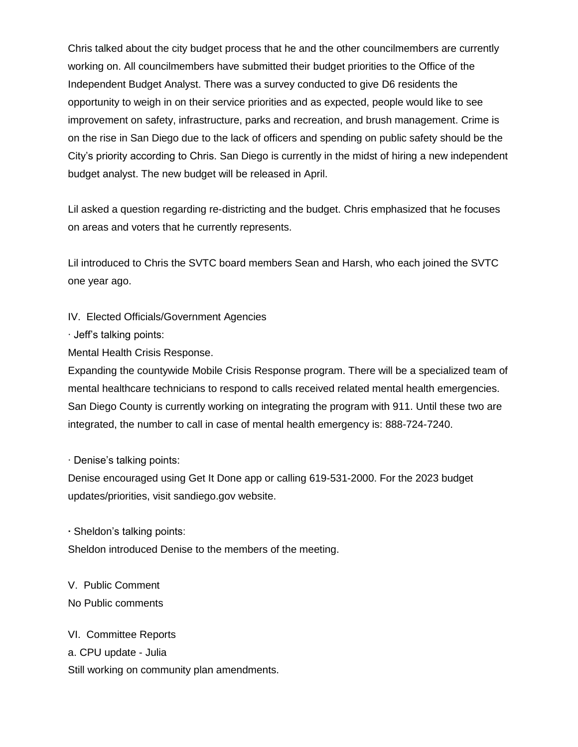Chris talked about the city budget process that he and the other councilmembers are currently working on. All councilmembers have submitted their budget priorities to the Office of the Independent Budget Analyst. There was a survey conducted to give D6 residents the opportunity to weigh in on their service priorities and as expected, people would like to see improvement on safety, infrastructure, parks and recreation, and brush management. Crime is on the rise in San Diego due to the lack of officers and spending on public safety should be the City's priority according to Chris. San Diego is currently in the midst of hiring a new independent budget analyst. The new budget will be released in April.

Lil asked a question regarding re-districting and the budget. Chris emphasized that he focuses on areas and voters that he currently represents.

Lil introduced to Chris the SVTC board members Sean and Harsh, who each joined the SVTC one year ago.

IV. Elected Officials/Government Agencies

∙ Jeff's talking points:

Mental Health Crisis Response.

Expanding the countywide Mobile Crisis Response program. There will be a specialized team of mental healthcare technicians to respond to calls received related mental health emergencies. San Diego County is currently working on integrating the program with 911. Until these two are integrated, the number to call in case of mental health emergency is: 888-724-7240.

∙ Denise's talking points:

Denise encouraged using Get It Done app or calling 619-531-2000. For the 2023 budget updates/priorities, visit sandiego.gov website.

**∙** Sheldon's talking points:

Sheldon introduced Denise to the members of the meeting.

V. Public Comment No Public comments

VI. Committee Reports a. CPU update - Julia Still working on community plan amendments.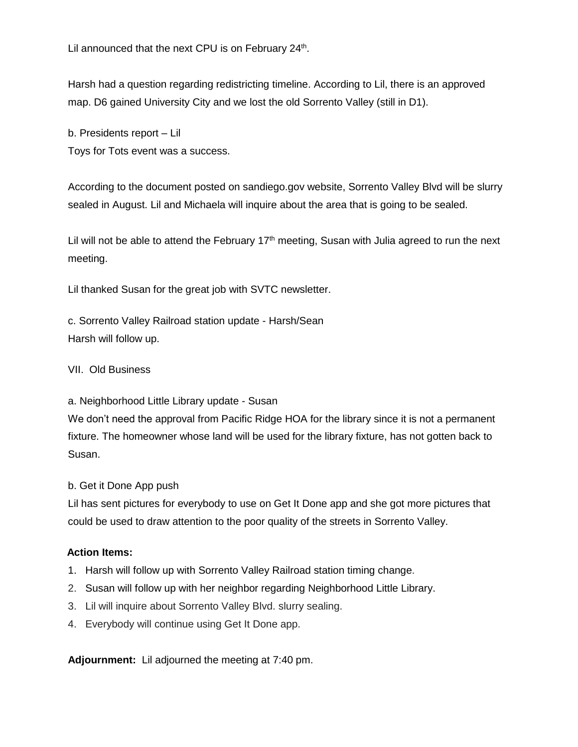Lil announced that the next CPU is on February 24<sup>th</sup>.

Harsh had a question regarding redistricting timeline. According to Lil, there is an approved map. D6 gained University City and we lost the old Sorrento Valley (still in D1).

b. Presidents report – Lil

Toys for Tots event was a success.

According to the document posted on sandiego.gov website, Sorrento Valley Blvd will be slurry sealed in August. Lil and Michaela will inquire about the area that is going to be sealed.

Lil will not be able to attend the February  $17<sup>th</sup>$  meeting, Susan with Julia agreed to run the next meeting.

Lil thanked Susan for the great job with SVTC newsletter.

c. Sorrento Valley Railroad station update - Harsh/Sean Harsh will follow up.

VII. Old Business

a. Neighborhood Little Library update - Susan We don't need the approval from Pacific Ridge HOA for the library since it is not a permanent fixture. The homeowner whose land will be used for the library fixture, has not gotten back to Susan.

b. Get it Done App push

Lil has sent pictures for everybody to use on Get It Done app and she got more pictures that could be used to draw attention to the poor quality of the streets in Sorrento Valley.

## **Action Items:**

- 1. Harsh will follow up with Sorrento Valley Railroad station timing change.
- 2. Susan will follow up with her neighbor regarding Neighborhood Little Library.
- 3. Lil will inquire about Sorrento Valley Blvd. slurry sealing.
- 4. Everybody will continue using Get It Done app.

**Adjournment:** Lil adjourned the meeting at 7:40 pm.